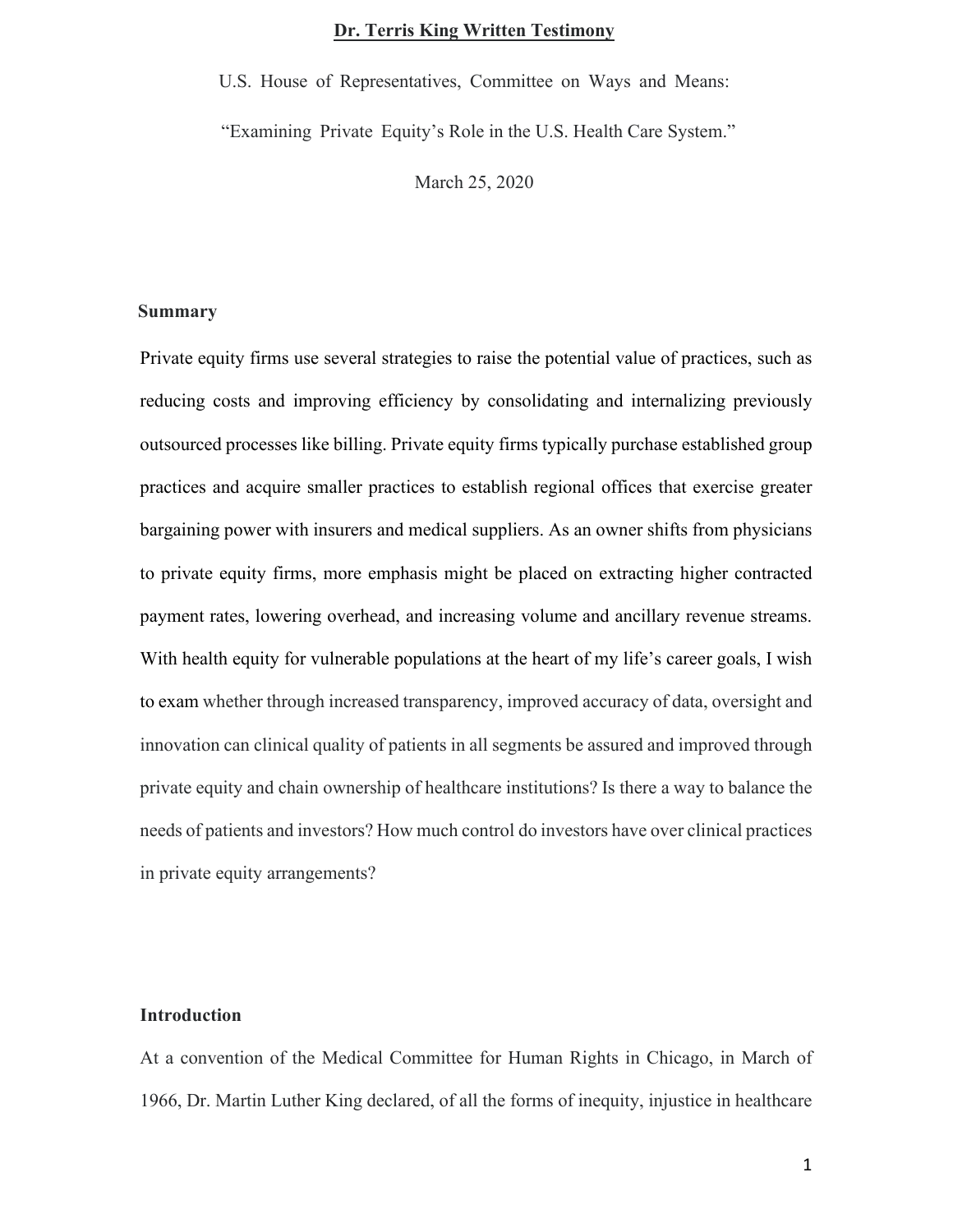# **Dr. Terris King Written Testimony**

U.S. House of Representatives, Committee on Ways and Means:

"Examining Private Equity's Role in the U.S. Health Care System."

March 25, 2020

## **Summary**

Private equity firms use several strategies to raise the potential value of practices, such as reducing costs and improving efficiency by consolidating and internalizing previously outsourced processes like billing. Private equity firms typically purchase established group practices and acquire smaller practices to establish regional offices that exercise greater bargaining power with insurers and medical suppliers. As an owner shifts from physicians to private equity firms, more emphasis might be placed on extracting higher contracted payment rates, lowering overhead, and increasing volume and ancillary revenue streams. With health equity for vulnerable populations at the heart of my life's career goals, I wish to exam whether through increased transparency, improved accuracy of data, oversight and innovation can clinical quality of patients in all segments be assured and improved through private equity and chain ownership of healthcare institutions? Is there a way to balance the needs of patients and investors? How much control do investors have over clinical practices in private equity arrangements?

#### **Introduction**

At a convention of the Medical Committee for Human Rights in Chicago, in March of 1966, Dr. Martin Luther King declared, of all the forms of inequity, injustice in healthcare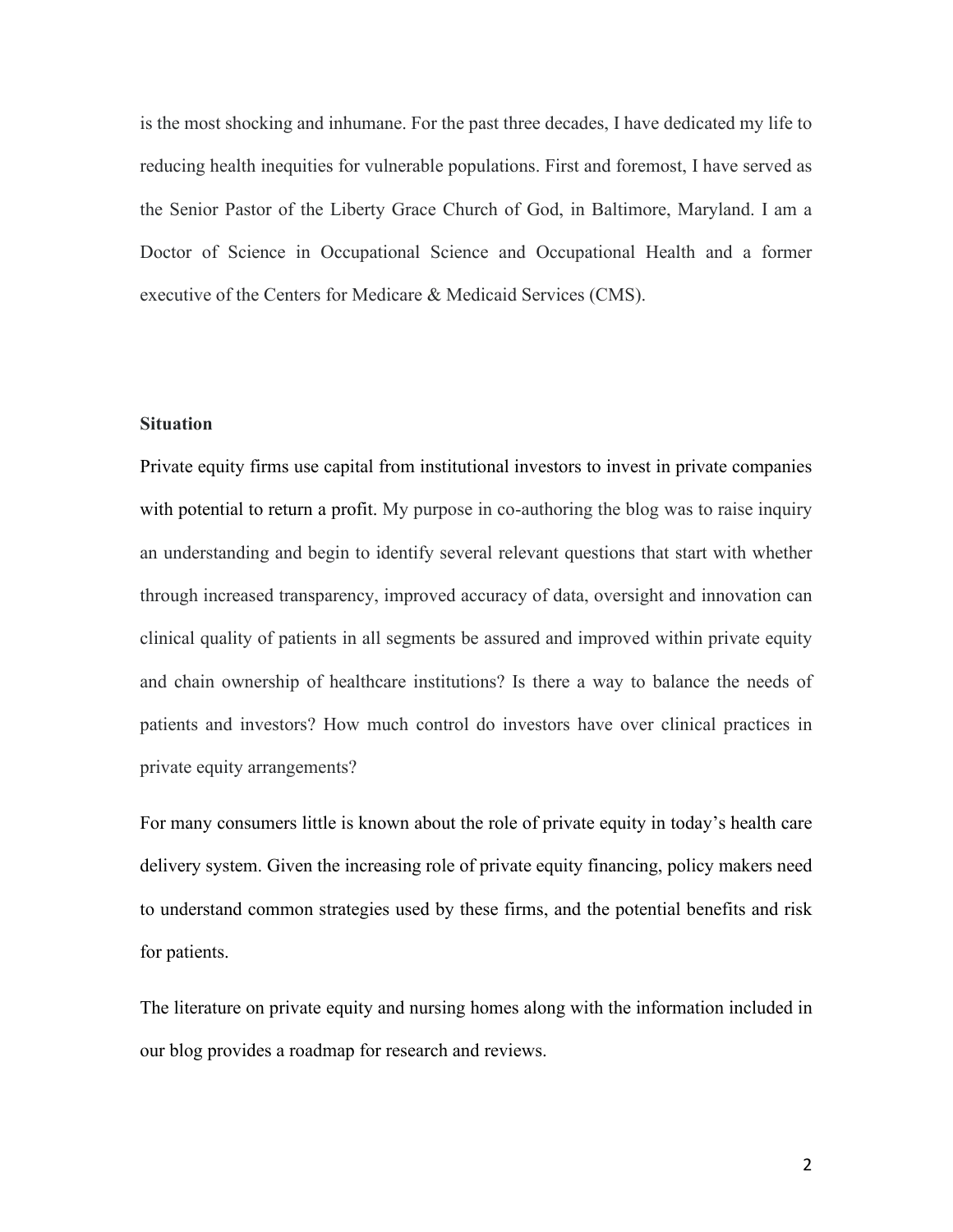is the most shocking and inhumane. For the past three decades, I have dedicated my life to reducing health inequities for vulnerable populations. First and foremost, I have served as the Senior Pastor of the Liberty Grace Church of God, in Baltimore, Maryland. I am a Doctor of Science in Occupational Science and Occupational Health and a former executive of the Centers for Medicare & Medicaid Services (CMS).

# **Situation**

Private equity firms use capital from institutional investors to invest in private companies with potential to return a profit. My purpose in co-authoring the blog was to raise inquiry an understanding and begin to identify several relevant questions that start with whether through increased transparency, improved accuracy of data, oversight and innovation can clinical quality of patients in all segments be assured and improved within private equity and chain ownership of healthcare institutions? Is there a way to balance the needs of patients and investors? How much control do investors have over clinical practices in private equity arrangements?

For many consumers little is known about the role of private equity in today's health care delivery system. Given the increasing role of private equity financing, policy makers need to understand common strategies used by these firms, and the potential benefits and risk for patients.

The literature on private equity and nursing homes along with the information included in our blog provides a roadmap for research and reviews.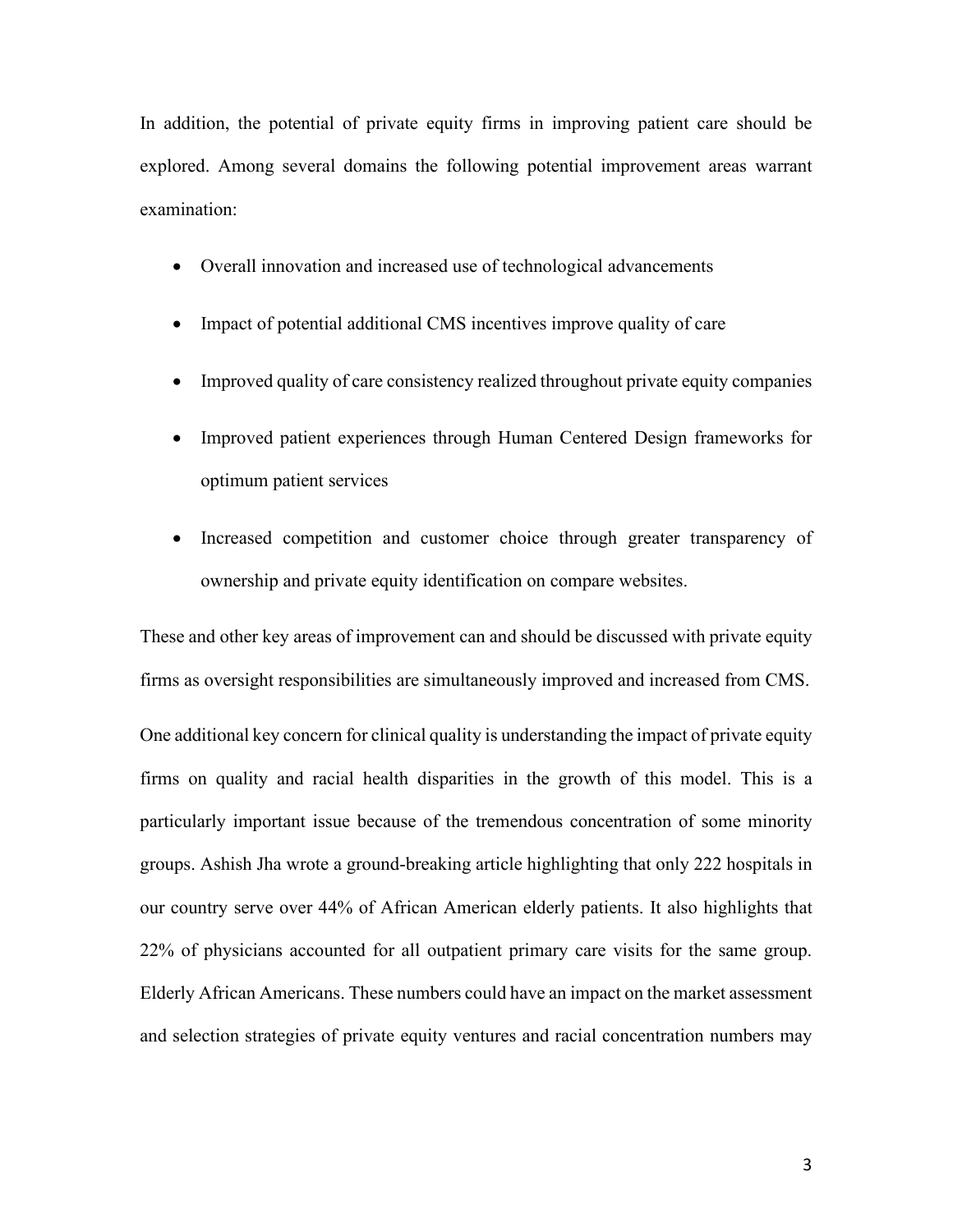In addition, the potential of private equity firms in improving patient care should be explored. Among several domains the following potential improvement areas warrant examination:

- Overall innovation and increased use of technological advancements
- Impact of potential additional CMS incentives improve quality of care
- Improved quality of care consistency realized throughout private equity companies
- Improved patient experiences through Human Centered Design frameworks for optimum patient services
- Increased competition and customer choice through greater transparency of ownership and private equity identification on compare websites.

These and other key areas of improvement can and should be discussed with private equity firms as oversight responsibilities are simultaneously improved and increased from CMS.

One additional key concern for clinical quality is understanding the impact of private equity firms on quality and racial health disparities in the growth of this model. This is a particularly important issue because of the tremendous concentration of some minority groups. Ashish Jha wrote a ground-breaking article highlighting that only 222 hospitals in our country serve over 44% of African American elderly patients. It also highlights that 22% of physicians accounted for all outpatient primary care visits for the same group. Elderly African Americans. These numbers could have an impact on the market assessment and selection strategies of private equity ventures and racial concentration numbers may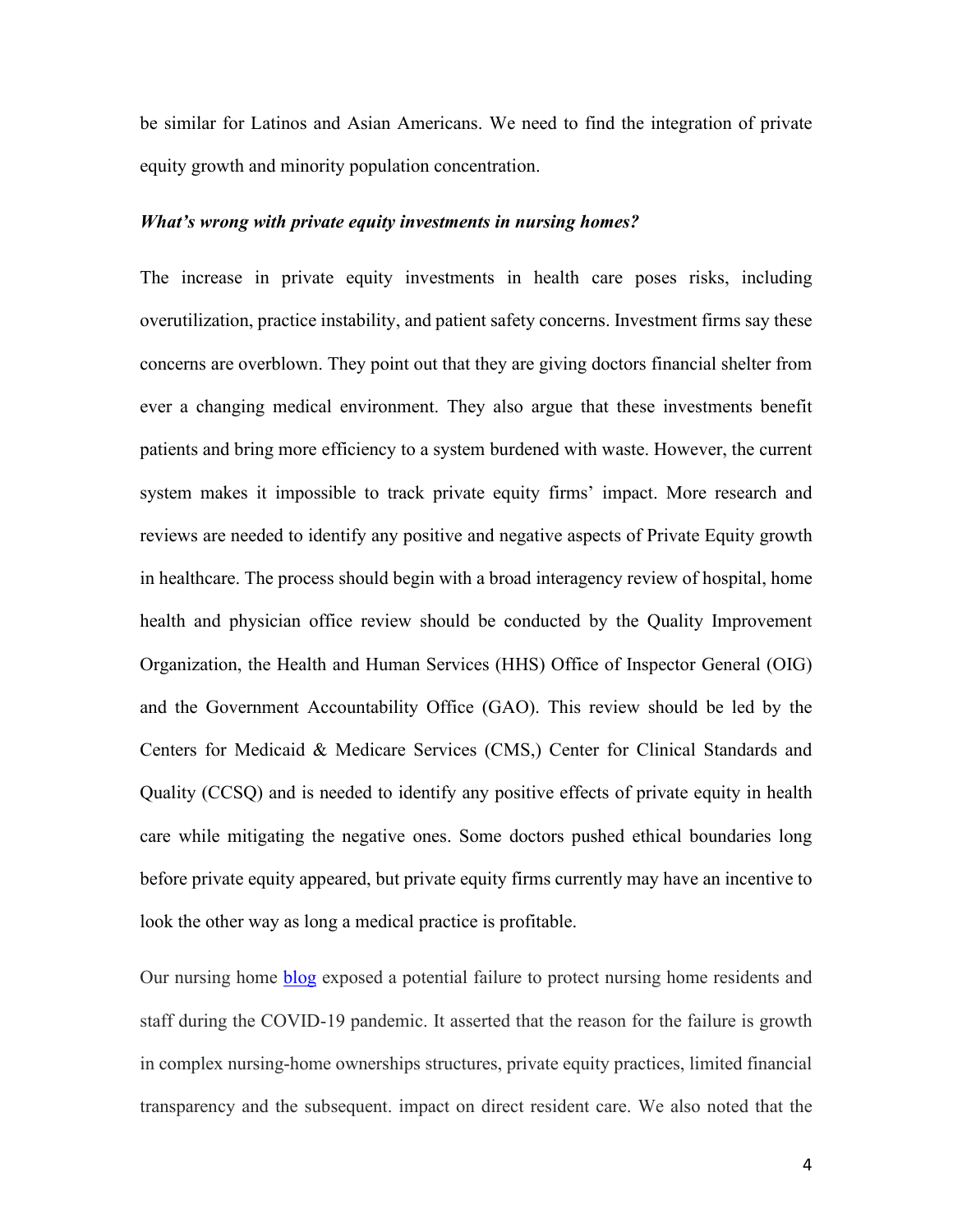be similar for Latinos and Asian Americans. We need to find the integration of private equity growth and minority population concentration.

#### *What's wrong with private equity investments in nursing homes?*

The increase in private equity investments in health care poses risks, including overutilization, practice instability, and patient safety concerns. Investment firms say these concerns are overblown. They point out that they are giving doctors financial shelter from ever a changing medical environment. They also argue that these investments benefit patients and bring more efficiency to a system burdened with waste. However, the current system makes it impossible to track private equity firms' impact. More research and reviews are needed to identify any positive and negative aspects of Private Equity growth in healthcare. The process should begin with a broad interagency review of hospital, home health and physician office review should be conducted by the Quality Improvement Organization, the Health and Human Services (HHS) Office of Inspector General (OIG) and the Government Accountability Office (GAO). This review should be led by the Centers for Medicaid & Medicare Services (CMS,) Center for Clinical Standards and Quality (CCSQ) and is needed to identify any positive effects of private equity in health care while mitigating the negative ones. Some doctors pushed ethical boundaries long before private equity appeared, but private equity firms currently may have an incentive to look the other way as long a medical practice is profitable.

Our nursing home [blog](https://www.healthaffairs.org/do/10.1377/hblog20210208.597573/full/) exposed a potential failure to protect nursing home residents and staff during the COVID-19 pandemic. It asserted that the reason for the failure is growth in complex nursing-home ownerships structures, private equity practices, limited financial transparency and the subsequent. impact on direct resident care. We also noted that the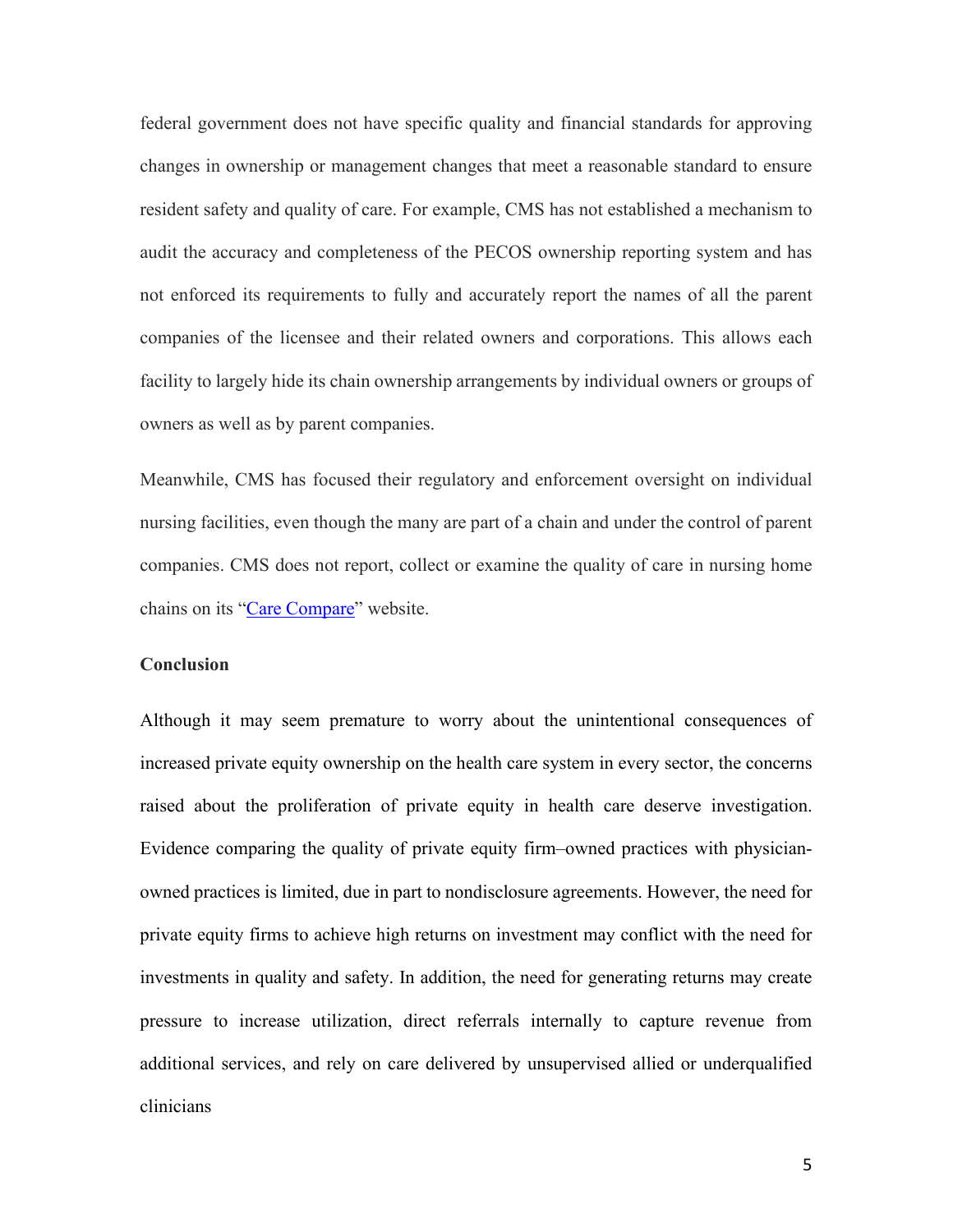federal government does not have specific quality and financial standards for approving changes in ownership or management changes that meet a reasonable standard to ensure resident safety and quality of care. For example, CMS has not established a mechanism to audit the accuracy and completeness of the PECOS ownership reporting system and has not enforced its requirements to fully and accurately report the names of all the parent companies of the licensee and their related owners and corporations. This allows each facility to largely hide its chain ownership arrangements by individual owners or groups of owners as well as by parent companies.

Meanwhile, CMS has focused their regulatory and enforcement oversight on individual nursing facilities, even though the many are part of a chain and under the control of parent companies. CMS does not report, collect or examine the quality of care in nursing home chains on its ["Care Compare"](http://www.medicare.gov/hospitalcompare) website.

#### **Conclusion**

Although it may seem premature to worry about the unintentional consequences of increased private equity ownership on the health care system in every sector, the concerns raised about the proliferation of private equity in health care deserve investigation. Evidence comparing the quality of private equity firm–owned practices with physicianowned practices is limited, due in part to nondisclosure agreements. However, the need for private equity firms to achieve high returns on investment may conflict with the need for investments in quality and safety. In addition, the need for generating returns may create pressure to increase utilization, direct referrals internally to capture revenue from additional services, and rely on care delivered by unsupervised allied or underqualified clinicians

5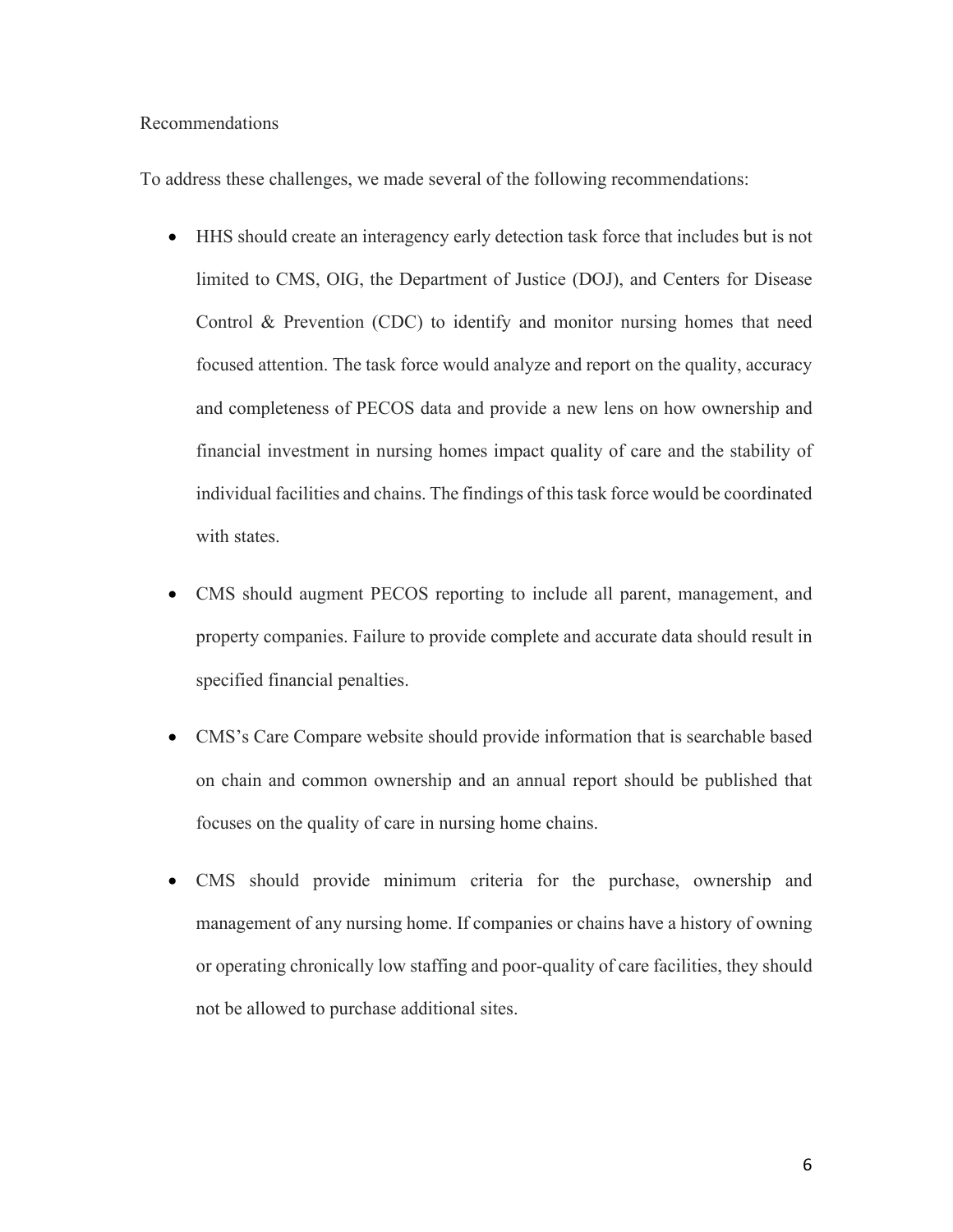## Recommendations

To address these challenges, we made several of the following recommendations:

- HHS should create an interagency early detection task force that includes but is not limited to CMS, OIG, the Department of Justice (DOJ), and Centers for Disease Control & Prevention (CDC) to identify and monitor nursing homes that need focused attention. The task force would analyze and report on the quality, accuracy and completeness of PECOS data and provide a new lens on how ownership and financial investment in nursing homes impact quality of care and the stability of individual facilities and chains. The findings of this task force would be coordinated with states.
- CMS should augment PECOS reporting to include all parent, management, and property companies. Failure to provide complete and accurate data should result in specified financial penalties.
- CMS's Care Compare website should provide information that is searchable based on chain and common ownership and an annual report should be published that focuses on the quality of care in nursing home chains.
- CMS should provide minimum criteria for the purchase, ownership and management of any nursing home. If companies or chains have a history of owning or operating chronically low staffing and poor-quality of care facilities, they should not be allowed to purchase additional sites.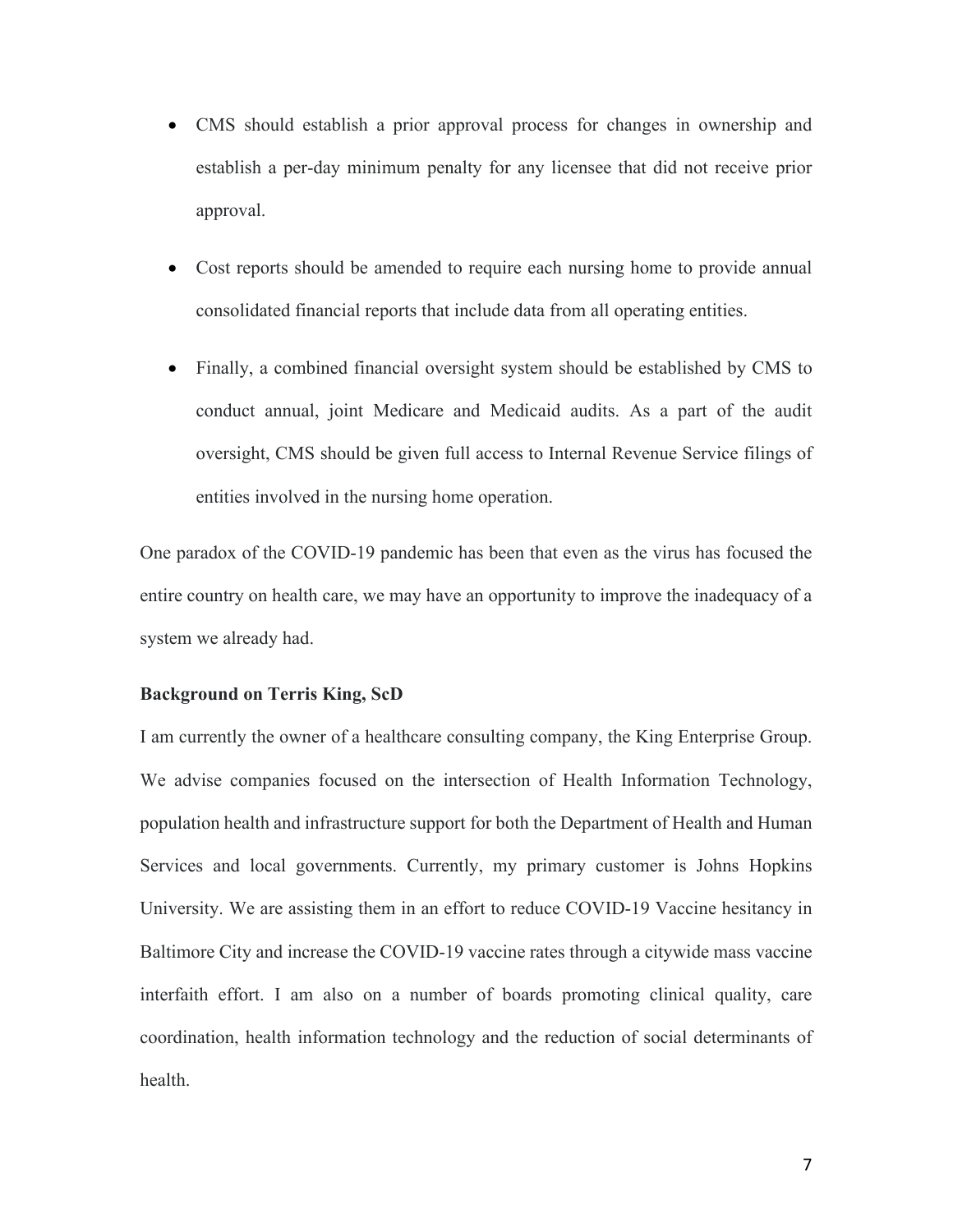- CMS should establish a prior approval process for changes in ownership and establish a per-day minimum penalty for any licensee that did not receive prior approval.
- Cost reports should be amended to require each nursing home to provide annual consolidated financial reports that include data from all operating entities.
- Finally, a combined financial oversight system should be established by CMS to conduct annual, joint Medicare and Medicaid audits. As a part of the audit oversight, CMS should be given full access to Internal Revenue Service filings of entities involved in the nursing home operation.

One paradox of the COVID-19 pandemic has been that even as the virus has focused the entire country on health care, we may have an opportunity to improve the inadequacy of a system we already had.

## **Background on Terris King, ScD**

I am currently the owner of a healthcare consulting company, the King Enterprise Group. We advise companies focused on the intersection of Health Information Technology, population health and infrastructure support for both the Department of Health and Human Services and local governments. Currently, my primary customer is Johns Hopkins University. We are assisting them in an effort to reduce COVID-19 Vaccine hesitancy in Baltimore City and increase the COVID-19 vaccine rates through a citywide mass vaccine interfaith effort. I am also on a number of boards promoting clinical quality, care coordination, health information technology and the reduction of social determinants of health.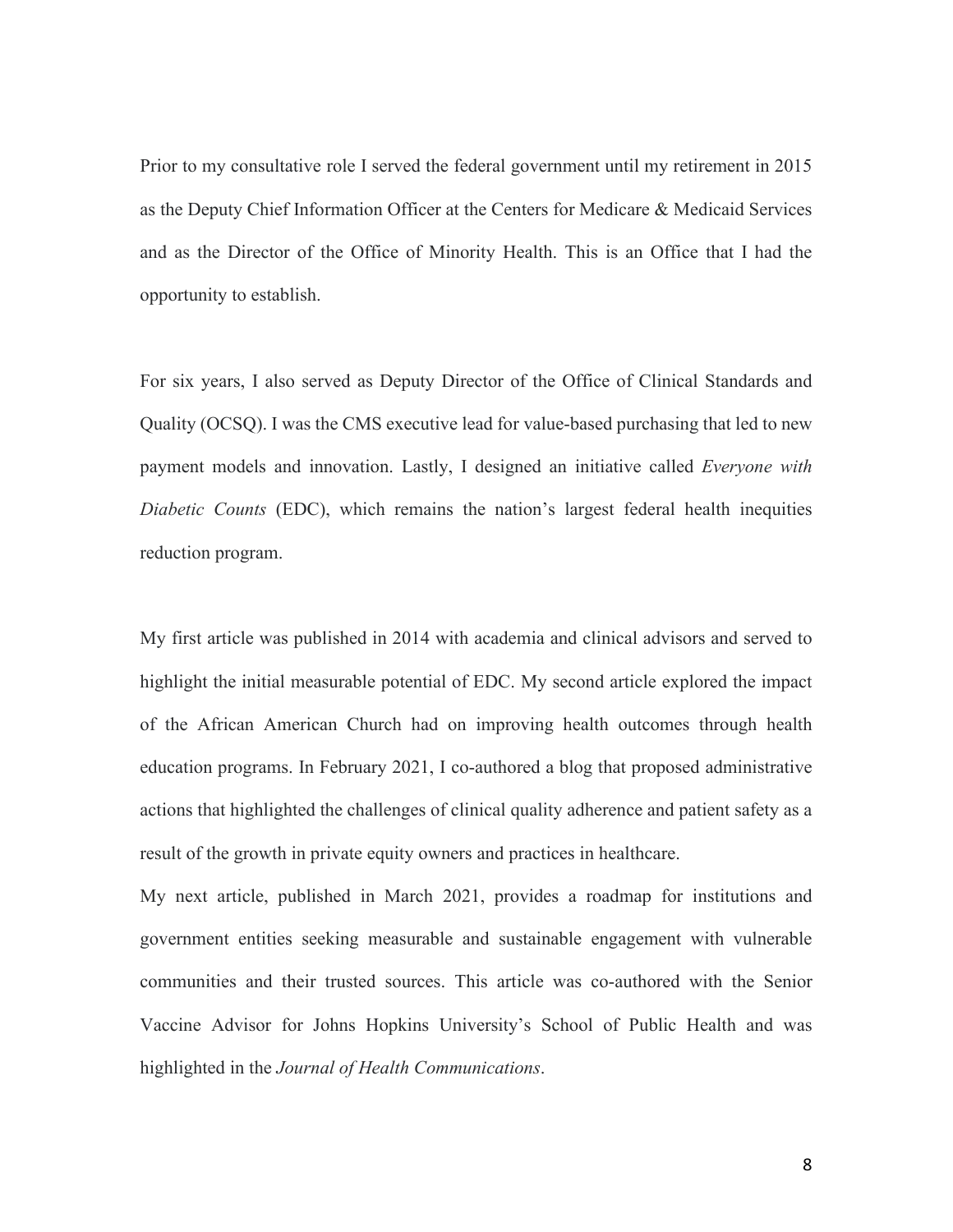Prior to my consultative role I served the federal government until my retirement in 2015 as the Deputy Chief Information Officer at the Centers for Medicare & Medicaid Services and as the Director of the Office of Minority Health. This is an Office that I had the opportunity to establish.

For six years, I also served as Deputy Director of the Office of Clinical Standards and Quality (OCSQ). I was the CMS executive lead for value-based purchasing that led to new payment models and innovation. Lastly, I designed an initiative called *Everyone with Diabetic Counts* (EDC), which remains the nation's largest federal health inequities reduction program.

My first article was published in 2014 with academia and clinical advisors and served to highlight the initial measurable potential of EDC. My second article explored the impact of the African American Church had on improving health outcomes through health education programs. In February 2021, I co-authored a blog that proposed administrative actions that highlighted the challenges of clinical quality adherence and patient safety as a result of the growth in private equity owners and practices in healthcare.

My next article, published in March 2021, provides a roadmap for institutions and government entities seeking measurable and sustainable engagement with vulnerable communities and their trusted sources. This article was co-authored with the Senior Vaccine Advisor for Johns Hopkins University's School of Public Health and was highlighted in the *Journal of Health Communications*.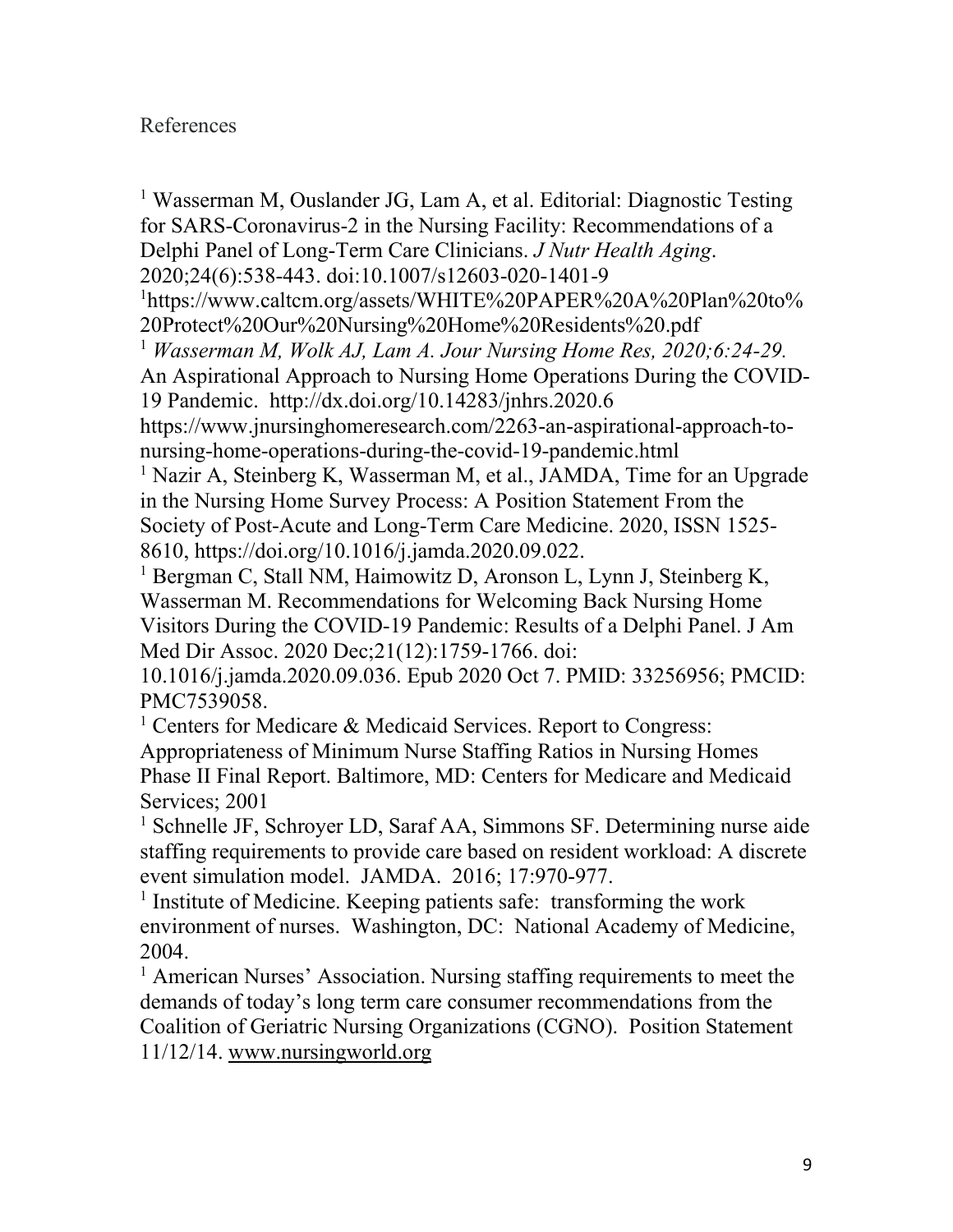# References

<sup>1</sup> Wasserman M, Ouslander JG, Lam A, et al. Editorial: Diagnostic Testing for SARS-Coronavirus-2 in the Nursing Facility: Recommendations of a Delphi Panel of Long-Term Care Clinicians. *J Nutr Health Aging*. 2020;24(6):538-443. doi:10.1007/s12603-020-1401-9 1 https://www.caltcm.org/assets/WHITE%20PAPER%20A%20Plan%20to% 20Protect%20Our%20Nursing%20Home%20Residents%20.pdf <sup>1</sup> *Wasserman M, Wolk AJ, Lam A. Jour Nursing Home Res, 2020;6:24-29.* An Aspirational Approach to Nursing Home Operations During the COVID-19 Pandemic. http://dx.doi.org/10.14283/jnhrs.2020.6 https://www.jnursinghomeresearch.com/2263-an-aspirational-approach-tonursing-home-operations-during-the-covid-19-pandemic.html <sup>1</sup> Nazir A, Steinberg K, Wasserman M, et al., JAMDA, Time for an Upgrade in the Nursing Home Survey Process: A Position Statement From the Society of Post-Acute and Long-Term Care Medicine. 2020, ISSN 1525- 8610, https://doi.org/10.1016/j.jamda.2020.09.022. <sup>1</sup> Bergman C, Stall NM, Haimowitz D, Aronson L, Lynn J, Steinberg K, Wasserman M. Recommendations for Welcoming Back Nursing Home Visitors During the COVID-19 Pandemic: Results of a Delphi Panel. J Am Med Dir Assoc. 2020 Dec;21(12):1759-1766. doi: 10.1016/j.jamda.2020.09.036. Epub 2020 Oct 7. PMID: 33256956; PMCID: PMC7539058.

<sup>1</sup> Centers for Medicare  $\&$  Medicaid Services. Report to Congress: Appropriateness of Minimum Nurse Staffing Ratios in Nursing Homes Phase II Final Report. Baltimore, MD: Centers for Medicare and Medicaid Services; 2001

<sup>1</sup> Schnelle JF, Schroyer LD, Saraf AA, Simmons SF. Determining nurse aide staffing requirements to provide care based on resident workload: A discrete event simulation model. JAMDA. 2016; 17:970-977.

<sup>1</sup> Institute of Medicine. Keeping patients safe: transforming the work environment of nurses. Washington, DC: National Academy of Medicine, 2004.

<sup>1</sup> American Nurses' Association. Nursing staffing requirements to meet the demands of today's long term care consumer recommendations from the Coalition of Geriatric Nursing Organizations (CGNO). Position Statement 11/12/14. [www.nursingworld.org](http://www.nursingworld.org/)